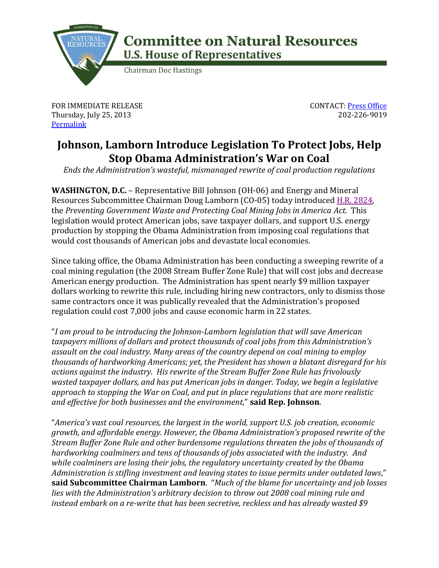

## **Committee on Natural Resources U.S. House of Representatives**

**Chairman Doc Hastings** 

FOR IMMEDIATE RELEASE Thursday, July 25, 2013 **[Permalink](http://naturalresources.house.gov/news/documentsingle.aspx?DocumentID=343991)** 

CONTACT: [Press Office](http://naturalresources.house.gov/contact/media.htm) 202-226-9019

## **Johnson, Lamborn Introduce Legislation To Protect Jobs, Help Stop Obama Administration's War on Coal**

*Ends the Administration's wasteful, mismanaged rewrite of coal production regulations*

**WASHINGTON, D.C.** – Representative Bill Johnson (OH-06) and Energy and Mineral Resources Subcommittee Chairman Doug Lamborn (CO-05) today introduced [H.R. 2824,](http://naturalresources.house.gov/UploadedFiles/OSMWasteandCoalRuleBill.pdf) the *Preventing Government Waste and Protecting Coal Mining Jobs in America Act.* This legislation would protect American jobs, save taxpayer dollars, and support U.S. energy production by stopping the Obama Administration from imposing coal regulations that would cost thousands of American jobs and devastate local economies.

Since taking office, the Obama Administration has been conducting a sweeping rewrite of a coal mining regulation (the 2008 Stream Buffer Zone Rule) that will cost jobs and decrease American energy production. The Administration has spent nearly \$9 million taxpayer dollars working to rewrite this rule, including hiring new contractors, only to dismiss those same contractors once it was publically revealed that the Administration's proposed regulation could cost 7,000 jobs and cause economic harm in 22 states.

"*I am proud to be introducing the Johnson-Lamborn legislation that will save American taxpayers millions of dollars and protect thousands of coal jobs from this Administration's assault on the coal industry. Many areas of the country depend on coal mining to employ thousands of hardworking Americans; yet, the President has shown a blatant disregard for his actions against the industry. His rewrite of the Stream Buffer Zone Rule has frivolously wasted taxpayer dollars, and has put American jobs in danger. Today, we begin a legislative approach to stopping the War on Coal, and put in place regulations that are more realistic and effective for both businesses and the environment*," **said Rep. Johnson**.

"*America's vast coal resources, the largest in the world, support U.S. job creation, economic growth, and affordable energy. However, the Obama Administration's proposed rewrite of the Stream Buffer Zone Rule and other burdensome regulations threaten the jobs of thousands of hardworking coalminers and tens of thousands of jobs associated with the industry. And while coalminers are losing their jobs, the regulatory uncertainty created by the Obama Administration is stifling investment and leaving states to issue permits under outdated laws*," **said Subcommittee Chairman Lamborn**. "*Much of the blame for uncertainty and job losses lies with the Administration's arbitrary decision to throw out 2008 coal mining rule and instead embark on a re-write that has been secretive, reckless and has already wasted \$9*